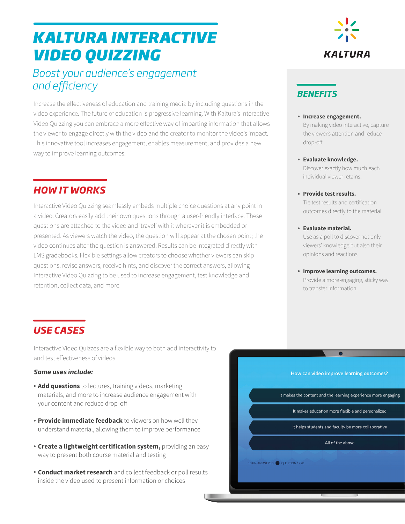## *KALTURA INTERACTIVE VIDEO QUIZZING*

## *Boost your audience's engagement*  and efficiency

Increase the effectiveness of education and training media by including questions in the video experience. The future of education is progressive learning. With Kaltura's Interactive Video Quizzing you can embrace a more effective way of imparting information that allows the viewer to engage directly with the video and the creator to monitor the video's impact. This innovative tool increases engagement, enables measurement, and provides a new way to improve learning outcomes.

## *HOW IT WORKS*

Interactive Video Quizzing seamlessly embeds multiple choice questions at any point in a video. Creators easily add their own questions through a user-friendly interface. These questions are attached to the video and 'travel' with it wherever it is embedded or presented. As viewers watch the video, the question will appear at the chosen point; the video continues after the question is answered. Results can be integrated directly with LMS gradebooks. Flexible settings allow creators to choose whether viewers can skip questions, revise answers, receive hints, and discover the correct answers, allowing Interactive Video Quizzing to be used to increase engagement, test knowledge and retention, collect data, and more.

# **KALTURA**

### *BENEFITS*

- **Increase engagement.**  By making video interactive, capture the viewer's attention and reduce drop-off.
- **Evaluate knowledge.** Discover exactly how much each individual viewer retains.
- **Provide test results.** Tie test results and certification outcomes directly to the material.
- **Evaluate material.** Use as a poll to discover not only viewers' knowledge but also their opinions and reactions.
- **Improve learning outcomes.** Provide a more engaging, sticky way to transfer information.

## *USE CASES*

Interactive Video Quizzes are a flexible way to both add interactivity to and test effectiveness of videos.

#### *Some uses include:*

- **Add questions** to lectures, training videos, marketing materials, and more to increase audience engagement with your content and reduce drop-off
- **Provide immediate feedback** to viewers on how well they understand material, allowing them to improve performance
- **Create a lightweight certification system,** providing an easy way to present both course material and testing
- **Conduct market research** and collect feedback or poll results inside the video used to present information or choices